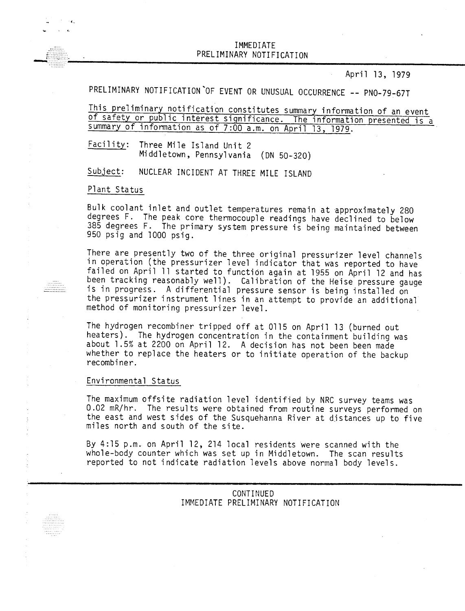IMMEDIATE PRELIMINARY NOTIFICATIO THE ELIMINARY NOTIFICATION<br>PRELIMINARY NOTIFICATION<br>Applied the contract of the contract of the contract of the contract of the contract of the contract of the con

April 13, 1979

PRELIMINARY NOTIFICATION OF EVENT OR UNUSUAL OCCURRENCE -- PNO-79-67T

This preliminary notification constitutes summary information of an event of safety or public interest significance. The information presented is a summary of information as of 7:00 a.m. on April 13, 1979.

Facility: Three Mile Island Unit 2 Middletown, Pennsylvania (ON 50-320)

Subject: NUCLEAR INCIDENT AT THREE MILE ISLAND

## Plant Status

 $\ldots$  $\begin{array}{cccccc} . & . & . & . & . & . & . & . & . \\ . & . & . & . & . & . & . & . \\ . & . & . & . & . & . & . & . \\ . & . & . & . & . & . & . & . \\ . & . & . & . & . & . & . & . \\ . & . & . & . & . & . & . & . \end{array}$  Bulk coolant inlet and outlet temperatures remain at approximately 280 degrees F. The peak core thermocouple readings have declined to below 385 degrees F. The primary system pressure is being maintained between 950 psig and 1000 psig.

There are presently two of the three original pressurizer level channels in operation (the pressurizer level indicator that was reported to have failed on April 11 started to function again at 1955 on April 12 and has been tracking reasonably well). Calibration of the Heise pressure gauge is in progress. A differential pressure sensor is being installed on the pressurizer instrument lines in an attempt to provide an additional method of monitoring pressurizer level.

The hydrogen recombiner tripped off at 0115 on April 13 (burned out heaters). The hydrogen concentration in the containment building was about 1.5% at 2200 on April 12. A decision has not been been made whether to replace the heaters or to initiate operation of the backup recombiner.

## Environmental Status

The maximum offsite radiation level identified by NRC survey teams was 0.02 mR/hr. The results were obtained from routine surveys performed on the east and west sides of the Susquehanna River at distances up to five miles north and south of the site.

By  $4:15$  p.m. on April 12, 214 local residents were scanned with the whole-body counter which was set up in Middletown. The scan results reported to not indicate radiation levels above normal body levels.

> CONTINUED IMMEDIATE PRELIMINARY NOTIFICATION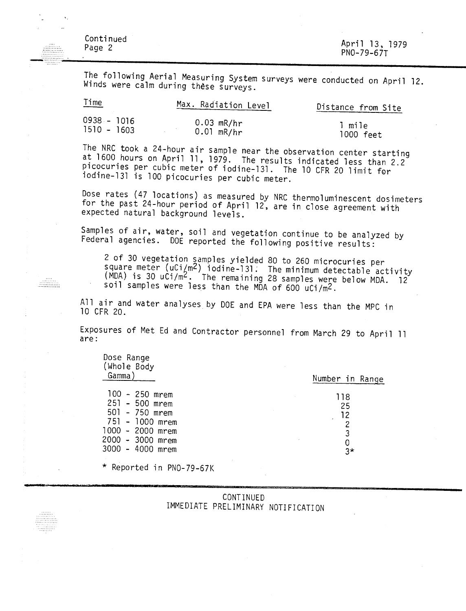Continued Page 2  $\frac{1}{2}$ 

 $\sim$   $\cdot$ 

---------------<br>----------------

April 13, 1979 PNO-79-67T

The following Aerial Measuring System surveys were conducted on April 12. Winds were calm during these surveys.

| lime          | Max. Radiation Level | Distance from Site |
|---------------|----------------------|--------------------|
| 0938 - 1016   | $0.03$ mR/hr         | l mile             |
| $1510 - 1603$ | $0.01$ mR/hr         | 1000 feet          |

The NRC took a 24-hour air sample near the observation center starting at 1600 hours on April 11, 1979. The results indicated less than 2.2 picocuries per cubic meter of iodine-131. The 10 CFR 20 limit for iodine-13l is 100 picocuries per cubic meter.

Dose rates (47 locations) as measured by NRC thermoluminescent dosimeters for the past 24-hour period of April 12, are in close agreement with expected natural background levels.

Samples of air, water, soil and vegetation continue to be analyzed by Federal agencies. DOE reported the following positive results:

2 of 30 vegetation samples yielded 80 to 260 microcuries per  $\mathcal{S}^{\text{quare}}$  meter (uCi/m<sup>2</sup>) iodine-131. The minimum detectable activity MDA) is 30 uCi/m<sup>2</sup>. The remaining 28 samples were below MDA. 12 soil samples were less than the MDA of 600 uCi/m2.

All air and water analyses by DOE and EPA were less than the MPC in 10 CFR 20.

Exposures of Met Ed and Contractor personnel from March 29 to April 11 are:

| Dose Range<br>(Whole Body<br>Gamma)                                                                                                 | Number in Range                      |
|-------------------------------------------------------------------------------------------------------------------------------------|--------------------------------------|
|                                                                                                                                     |                                      |
| $100 - 250$ mrem<br>251 - 500 mrem<br>501 - 750 mrem<br>751 - 1000 mrem<br>1000 - 2000 mrem<br>2000 - 3000 mrem<br>3000 - 4000 mrem | 118<br>25<br>12<br>2<br>3<br>0<br>3* |
|                                                                                                                                     |                                      |

\* Reported in PNO-79-67K

| CONTINUED |                                    |
|-----------|------------------------------------|
|           | IMMEDIATE PRELIMINARY NOTIFICATION |